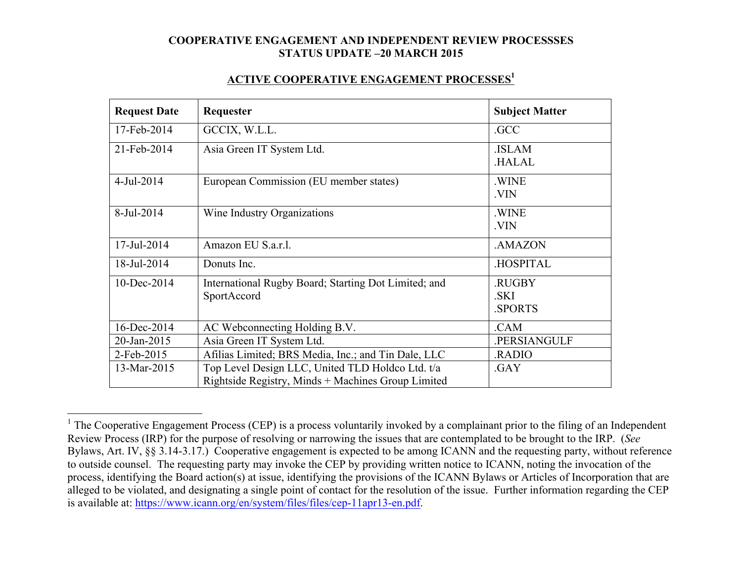#### **ACTIVE COOPERATIVE ENGAGEMENT PROCESSES1**

| <b>Request Date</b> | Requester                                                                                              | <b>Subject Matter</b>           |
|---------------------|--------------------------------------------------------------------------------------------------------|---------------------------------|
| 17-Feb-2014         | GCCIX, W.L.L.                                                                                          | .GCC                            |
| 21-Feb-2014         | Asia Green IT System Ltd.                                                                              | .ISLAM<br><b>HALAL</b>          |
| 4-Jul-2014          | European Commission (EU member states)                                                                 | .WINE<br>.VIN                   |
| 8-Jul-2014          | Wine Industry Organizations                                                                            | .WINE<br>.VIN                   |
| 17-Jul-2014         | Amazon EU S.a.r.l.                                                                                     | .AMAZON                         |
| 18-Jul-2014         | Donuts Inc.                                                                                            | .HOSPITAL                       |
| 10-Dec-2014         | International Rugby Board; Starting Dot Limited; and<br>SportAccord                                    | .RUGBY<br>.SKI<br><b>SPORTS</b> |
| 16-Dec-2014         | AC Webconnecting Holding B.V.                                                                          | .CAM                            |
| 20-Jan-2015         | Asia Green IT System Ltd.                                                                              | .PERSIANGULF                    |
| 2-Feb-2015          | Afilias Limited; BRS Media, Inc.; and Tin Dale, LLC<br>RADIO                                           |                                 |
| 13-Mar-2015         | Top Level Design LLC, United TLD Holdco Ltd. t/a<br>Rightside Registry, Minds + Machines Group Limited | .GAY                            |

 $1$  The Cooperative Engagement Process (CEP) is a process voluntarily invoked by a complainant prior to the filing of an Independent Review Process (IRP) for the purpose of resolving or narrowing the issues that are contemplated to be brought to the IRP. (*See* Bylaws, Art. IV, §§ 3.14-3.17.) Cooperative engagement is expected to be among ICANN and the requesting party, without reference to outside counsel. The requesting party may invoke the CEP by providing written notice to ICANN, noting the invocation of the process, identifying the Board action(s) at issue, identifying the provisions of the ICANN Bylaws or Articles of Incorporation that are alleged to be violated, and designating a single point of contact for the resolution of the issue. Further information regarding the CEP is available at: https://www.icann.org/en/system/files/files/cep-11apr13-en.pdf.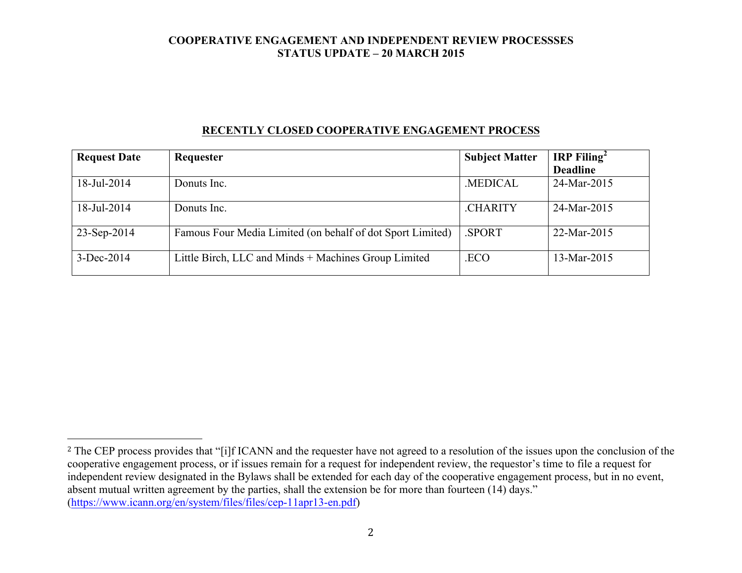### **RECENTLY CLOSED COOPERATIVE ENGAGEMENT PROCESS**

| <b>Request Date</b> | Requester                                                  | <b>Subject Matter</b> | <b>IRP</b> Filing <sup>2</sup> |
|---------------------|------------------------------------------------------------|-----------------------|--------------------------------|
|                     |                                                            |                       | <b>Deadline</b>                |
| 18-Jul-2014         | Donuts Inc.                                                | <b>MEDICAL</b>        | 24-Mar-2015                    |
| 18-Jul-2014         | Donuts Inc.                                                | <b>CHARITY</b>        | 24-Mar-2015                    |
| 23-Sep-2014         | Famous Four Media Limited (on behalf of dot Sport Limited) | <b>SPORT</b>          | 22-Mar-2015                    |
| 3-Dec-2014          | Little Birch, LLC and Minds + Machines Group Limited       | .ECO                  | 13-Mar-2015                    |

 

<sup>&</sup>lt;sup>2</sup> The CEP process provides that "[i]f ICANN and the requester have not agreed to a resolution of the issues upon the conclusion of the cooperative engagement process, or if issues remain for a request for independent review, the requestor's time to file a request for independent review designated in the Bylaws shall be extended for each day of the cooperative engagement process, but in no event, absent mutual written agreement by the parties, shall the extension be for more than fourteen (14) days." (https://www.icann.org/en/system/files/files/cep-11apr13-en.pdf)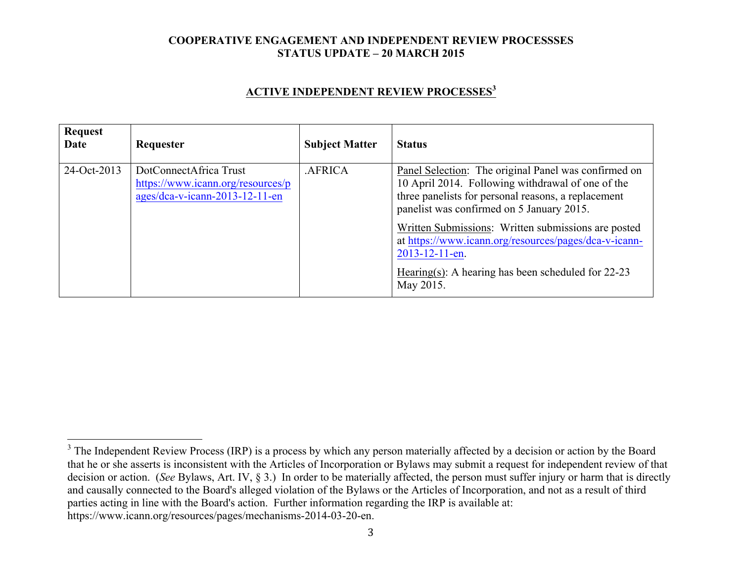### **ACTIVE INDEPENDENT REVIEW PROCESSES<sup>3</sup>**

| <b>Request</b><br>Date | Requester                                                                                     | <b>Subject Matter</b> | <b>Status</b>                                                                                                                                                                                                 |
|------------------------|-----------------------------------------------------------------------------------------------|-----------------------|---------------------------------------------------------------------------------------------------------------------------------------------------------------------------------------------------------------|
| 24-Oct-2013            | DotConnectAfrica Trust<br>https://www.icann.org/resources/p<br>ages/dca-v-icann-2013-12-11-en | .AFRICA               | Panel Selection: The original Panel was confirmed on<br>10 April 2014. Following withdrawal of one of the<br>three panelists for personal reasons, a replacement<br>panelist was confirmed on 5 January 2015. |
|                        |                                                                                               |                       | Written Submissions: Written submissions are posted<br>at https://www.icann.org/resources/pages/dca-v-icann-<br>$2013 - 12 - 11 - en$ .<br>Hearing(s): A hearing has been scheduled for $22-23$<br>May 2015.  |

<sup>&</sup>lt;sup>3</sup> The Independent Review Process (IRP) is a process by which any person materially affected by a decision or action by the Board that he or she asserts is inconsistent with the Articles of Incorporation or Bylaws may submit a request for independent review of that decision or action. (*See* Bylaws, Art. IV, § 3.) In order to be materially affected, the person must suffer injury or harm that is directly and causally connected to the Board's alleged violation of the Bylaws or the Articles of Incorporation, and not as a result of third parties acting in line with the Board's action. Further information regarding the IRP is available at: https://www.icann.org/resources/pages/mechanisms-2014-03-20-en.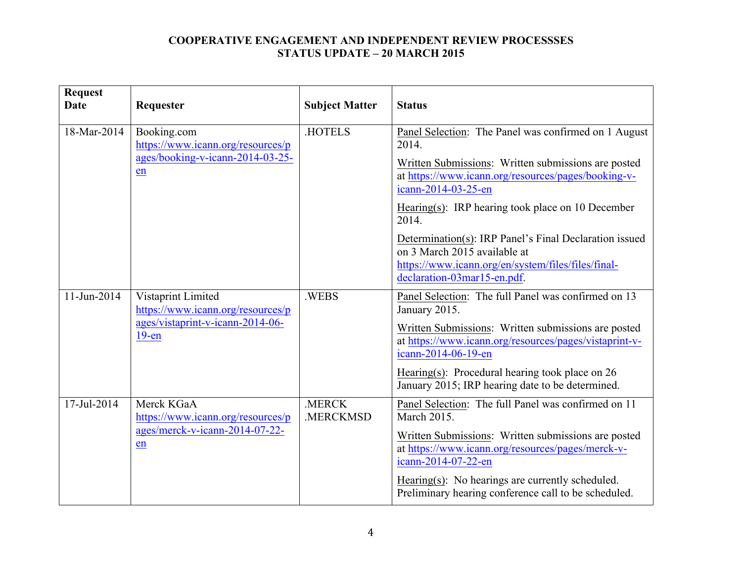| <b>Request</b><br><b>Date</b> | Requester                                                                                               | <b>Subject Matter</b> | <b>Status</b>                                                                                                                                                               |
|-------------------------------|---------------------------------------------------------------------------------------------------------|-----------------------|-----------------------------------------------------------------------------------------------------------------------------------------------------------------------------|
| 18-Mar-2014<br>en             | Booking.com<br>https://www.icann.org/resources/p<br>ages/booking-v-icann-2014-03-25-                    | <b>HOTELS</b>         | Panel Selection: The Panel was confirmed on 1 August<br>2014.                                                                                                               |
|                               |                                                                                                         |                       | Written Submissions: Written submissions are posted<br>at https://www.icann.org/resources/pages/booking-v-<br>icann-2014-03-25-en                                           |
|                               |                                                                                                         |                       | Hearing(s): IRP hearing took place on 10 December<br>2014.                                                                                                                  |
|                               |                                                                                                         |                       | Determination(s): IRP Panel's Final Declaration issued<br>on 3 March 2015 available at<br>https://www.icann.org/en/system/files/files/final-<br>declaration-03mar15-en.pdf. |
| 11-Jun-2014                   | Vistaprint Limited<br>https://www.icann.org/resources/p<br>ages/vistaprint-v-icann-2014-06-<br>$19$ -en | .WEBS                 | Panel Selection: The full Panel was confirmed on 13<br>January 2015.                                                                                                        |
|                               |                                                                                                         |                       | Written Submissions: Written submissions are posted<br>at https://www.icann.org/resources/pages/vistaprint-v-<br>icann-2014-06-19-en                                        |
|                               |                                                                                                         |                       | Hearing(s): Procedural hearing took place on $26$<br>January 2015; IRP hearing date to be determined.                                                                       |
| 17-Jul-2014                   | Merck KGaA<br>https://www.icann.org/resources/p<br>ages/merck-v-icann-2014-07-22-<br>en                 | .MERCK<br>.MERCKMSD   | Panel Selection: The full Panel was confirmed on 11<br><b>March 2015.</b>                                                                                                   |
|                               |                                                                                                         |                       | Written Submissions: Written submissions are posted<br>at https://www.icann.org/resources/pages/merck-v-<br>icann-2014-07-22-en                                             |
|                               |                                                                                                         |                       | Hearing(s): No hearings are currently scheduled.<br>Preliminary hearing conference call to be scheduled.                                                                    |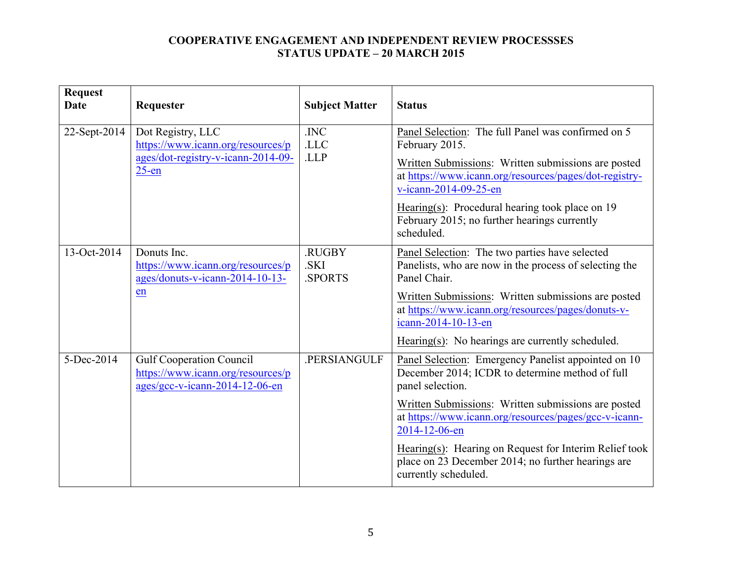| <b>Request</b><br><b>Date</b> | Requester                                                                                               | <b>Subject Matter</b>           | <b>Status</b>                                                                                                                                                                                                                                                                                                                                                                                       |
|-------------------------------|---------------------------------------------------------------------------------------------------------|---------------------------------|-----------------------------------------------------------------------------------------------------------------------------------------------------------------------------------------------------------------------------------------------------------------------------------------------------------------------------------------------------------------------------------------------------|
| 22-Sept-2014                  | Dot Registry, LLC<br>https://www.icann.org/resources/p<br>ages/dot-registry-v-icann-2014-09-<br>$25-en$ | .INC<br>.LLC<br>.LLP            | Panel Selection: The full Panel was confirmed on 5<br>February 2015.<br>Written Submissions: Written submissions are posted<br>at https://www.icann.org/resources/pages/dot-registry-<br>v-icann-2014-09-25-en<br>Hearing(s): Procedural hearing took place on $19$<br>February 2015; no further hearings currently<br>scheduled.                                                                   |
| 13-Oct-2014                   | Donuts Inc.<br>https://www.icann.org/resources/p<br>ages/donuts-v-icann-2014-10-13-<br>en               | .RUGBY<br>.SKI<br><b>SPORTS</b> | Panel Selection: The two parties have selected<br>Panelists, who are now in the process of selecting the<br>Panel Chair.<br>Written Submissions: Written submissions are posted<br>at https://www.icann.org/resources/pages/donuts-v-<br>icann-2014-10-13-en<br>Hearing(s): No hearings are currently scheduled.                                                                                    |
| 5-Dec-2014                    | <b>Gulf Cooperation Council</b><br>https://www.icann.org/resources/p<br>ages/gcc-v-icann-2014-12-06-en  | .PERSIANGULF                    | Panel Selection: Emergency Panelist appointed on 10<br>December 2014; ICDR to determine method of full<br>panel selection.<br>Written Submissions: Written submissions are posted<br>at https://www.icann.org/resources/pages/gcc-v-icann-<br>2014-12-06-en<br>Hearing(s): Hearing on Request for Interim Relief took<br>place on 23 December 2014; no further hearings are<br>currently scheduled. |